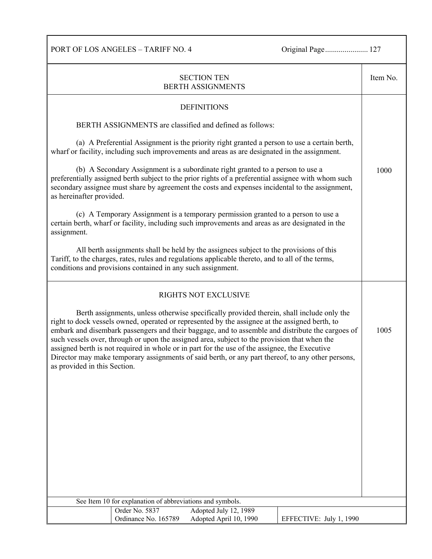PORT OF LOS ANGELES – TARIFF NO. 4 Original Page...................... 127

| <b>SECTION TEN</b><br><b>BERTH ASSIGNMENTS</b>                                                                                                                                                                                                                                                                                                                                                                                                                                                                                                                                                                                        |                                        |                                                                                                                                                                                       |                         |  |
|---------------------------------------------------------------------------------------------------------------------------------------------------------------------------------------------------------------------------------------------------------------------------------------------------------------------------------------------------------------------------------------------------------------------------------------------------------------------------------------------------------------------------------------------------------------------------------------------------------------------------------------|----------------------------------------|---------------------------------------------------------------------------------------------------------------------------------------------------------------------------------------|-------------------------|--|
|                                                                                                                                                                                                                                                                                                                                                                                                                                                                                                                                                                                                                                       |                                        | <b>DEFINITIONS</b>                                                                                                                                                                    |                         |  |
| BERTH ASSIGNMENTS are classified and defined as follows:                                                                                                                                                                                                                                                                                                                                                                                                                                                                                                                                                                              |                                        |                                                                                                                                                                                       |                         |  |
| (a) A Preferential Assignment is the priority right granted a person to use a certain berth,<br>wharf or facility, including such improvements and areas as are designated in the assignment.                                                                                                                                                                                                                                                                                                                                                                                                                                         |                                        |                                                                                                                                                                                       |                         |  |
| (b) A Secondary Assignment is a subordinate right granted to a person to use a<br>preferentially assigned berth subject to the prior rights of a preferential assignee with whom such<br>secondary assignee must share by agreement the costs and expenses incidental to the assignment,<br>as hereinafter provided.                                                                                                                                                                                                                                                                                                                  |                                        |                                                                                                                                                                                       |                         |  |
| assignment.                                                                                                                                                                                                                                                                                                                                                                                                                                                                                                                                                                                                                           |                                        | (c) A Temporary Assignment is a temporary permission granted to a person to use a<br>certain berth, wharf or facility, including such improvements and areas as are designated in the |                         |  |
| All berth assignments shall be held by the assignees subject to the provisions of this<br>Tariff, to the charges, rates, rules and regulations applicable thereto, and to all of the terms,<br>conditions and provisions contained in any such assignment.                                                                                                                                                                                                                                                                                                                                                                            |                                        |                                                                                                                                                                                       |                         |  |
| RIGHTS NOT EXCLUSIVE                                                                                                                                                                                                                                                                                                                                                                                                                                                                                                                                                                                                                  |                                        |                                                                                                                                                                                       |                         |  |
| Berth assignments, unless otherwise specifically provided therein, shall include only the<br>right to dock vessels owned, operated or represented by the assignee at the assigned berth, to<br>embark and disembark passengers and their baggage, and to assemble and distribute the cargoes of<br>such vessels over, through or upon the assigned area, subject to the provision that when the<br>assigned berth is not required in whole or in part for the use of the assignee, the Executive<br>Director may make temporary assignments of said berth, or any part thereof, to any other persons,<br>as provided in this Section. |                                        |                                                                                                                                                                                       | 1005                    |  |
|                                                                                                                                                                                                                                                                                                                                                                                                                                                                                                                                                                                                                                       |                                        |                                                                                                                                                                                       |                         |  |
|                                                                                                                                                                                                                                                                                                                                                                                                                                                                                                                                                                                                                                       |                                        |                                                                                                                                                                                       |                         |  |
|                                                                                                                                                                                                                                                                                                                                                                                                                                                                                                                                                                                                                                       |                                        |                                                                                                                                                                                       |                         |  |
|                                                                                                                                                                                                                                                                                                                                                                                                                                                                                                                                                                                                                                       |                                        |                                                                                                                                                                                       |                         |  |
|                                                                                                                                                                                                                                                                                                                                                                                                                                                                                                                                                                                                                                       |                                        |                                                                                                                                                                                       |                         |  |
|                                                                                                                                                                                                                                                                                                                                                                                                                                                                                                                                                                                                                                       |                                        |                                                                                                                                                                                       |                         |  |
| See Item 10 for explanation of abbreviations and symbols.                                                                                                                                                                                                                                                                                                                                                                                                                                                                                                                                                                             |                                        |                                                                                                                                                                                       |                         |  |
|                                                                                                                                                                                                                                                                                                                                                                                                                                                                                                                                                                                                                                       | Order No. 5837<br>Ordinance No. 165789 | Adopted July 12, 1989<br>Adopted April 10, 1990                                                                                                                                       | EFFECTIVE: July 1, 1990 |  |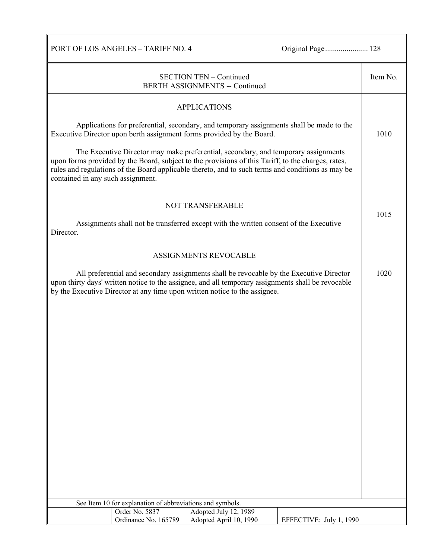PORT OF LOS ANGELES - TARIFF NO. 4 Original Page................................. 128

| <b>SECTION TEN - Continued</b><br><b>BERTH ASSIGNMENTS -- Continued</b>                                                                                                                                                                                                     |                                                           |                                                                                                                                                                                                                                                                                               |                         |      |
|-----------------------------------------------------------------------------------------------------------------------------------------------------------------------------------------------------------------------------------------------------------------------------|-----------------------------------------------------------|-----------------------------------------------------------------------------------------------------------------------------------------------------------------------------------------------------------------------------------------------------------------------------------------------|-------------------------|------|
|                                                                                                                                                                                                                                                                             |                                                           | <b>APPLICATIONS</b>                                                                                                                                                                                                                                                                           |                         |      |
|                                                                                                                                                                                                                                                                             |                                                           |                                                                                                                                                                                                                                                                                               |                         |      |
| Applications for preferential, secondary, and temporary assignments shall be made to the<br>Executive Director upon berth assignment forms provided by the Board.                                                                                                           |                                                           |                                                                                                                                                                                                                                                                                               |                         |      |
| contained in any such assignment.                                                                                                                                                                                                                                           |                                                           | The Executive Director may make preferential, secondary, and temporary assignments<br>upon forms provided by the Board, subject to the provisions of this Tariff, to the charges, rates,<br>rules and regulations of the Board applicable thereto, and to such terms and conditions as may be |                         |      |
|                                                                                                                                                                                                                                                                             |                                                           | <b>NOT TRANSFERABLE</b>                                                                                                                                                                                                                                                                       |                         | 1015 |
| Director.                                                                                                                                                                                                                                                                   |                                                           | Assignments shall not be transferred except with the written consent of the Executive                                                                                                                                                                                                         |                         |      |
|                                                                                                                                                                                                                                                                             |                                                           | ASSIGNMENTS REVOCABLE                                                                                                                                                                                                                                                                         |                         |      |
| All preferential and secondary assignments shall be revocable by the Executive Director<br>upon thirty days' written notice to the assignee, and all temporary assignments shall be revocable<br>by the Executive Director at any time upon written notice to the assignee. |                                                           |                                                                                                                                                                                                                                                                                               | 1020                    |      |
|                                                                                                                                                                                                                                                                             |                                                           |                                                                                                                                                                                                                                                                                               |                         |      |
|                                                                                                                                                                                                                                                                             |                                                           |                                                                                                                                                                                                                                                                                               |                         |      |
|                                                                                                                                                                                                                                                                             |                                                           |                                                                                                                                                                                                                                                                                               |                         |      |
|                                                                                                                                                                                                                                                                             |                                                           |                                                                                                                                                                                                                                                                                               |                         |      |
|                                                                                                                                                                                                                                                                             |                                                           |                                                                                                                                                                                                                                                                                               |                         |      |
|                                                                                                                                                                                                                                                                             |                                                           |                                                                                                                                                                                                                                                                                               |                         |      |
|                                                                                                                                                                                                                                                                             |                                                           |                                                                                                                                                                                                                                                                                               |                         |      |
|                                                                                                                                                                                                                                                                             |                                                           |                                                                                                                                                                                                                                                                                               |                         |      |
|                                                                                                                                                                                                                                                                             |                                                           |                                                                                                                                                                                                                                                                                               |                         |      |
|                                                                                                                                                                                                                                                                             |                                                           |                                                                                                                                                                                                                                                                                               |                         |      |
|                                                                                                                                                                                                                                                                             |                                                           |                                                                                                                                                                                                                                                                                               |                         |      |
|                                                                                                                                                                                                                                                                             |                                                           |                                                                                                                                                                                                                                                                                               |                         |      |
|                                                                                                                                                                                                                                                                             |                                                           |                                                                                                                                                                                                                                                                                               |                         |      |
|                                                                                                                                                                                                                                                                             |                                                           |                                                                                                                                                                                                                                                                                               |                         |      |
|                                                                                                                                                                                                                                                                             |                                                           |                                                                                                                                                                                                                                                                                               |                         |      |
|                                                                                                                                                                                                                                                                             | See Item 10 for explanation of abbreviations and symbols. |                                                                                                                                                                                                                                                                                               |                         |      |
|                                                                                                                                                                                                                                                                             | Order No. 5837<br>Ordinance No. 165789                    | Adopted July 12, 1989<br>Adopted April 10, 1990                                                                                                                                                                                                                                               | EFFECTIVE: July 1, 1990 |      |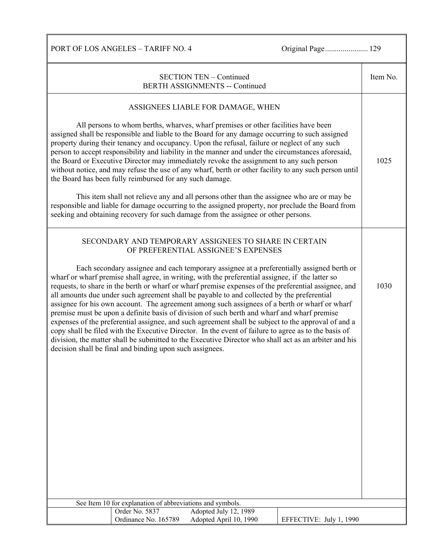PORT OF LOS ANGELES - TARIFF NO. 4 Original Page................................. 129

| <b>SECTION TEN - Continued</b><br><b>BERTH ASSIGNMENTS -- Continued</b>                                                                                                                                                                                                                                                                                                                                                                                                                                                                                                                                                                                                                                                                                                                                                                                                                                                                                                                                                                                                                                                                                                       |                                                          |                                                                                                                                                                                                                                                                                                                                                                                                                                                                                                                                                                                                                                                                                                                                                                                                                                         |                         |      |
|-------------------------------------------------------------------------------------------------------------------------------------------------------------------------------------------------------------------------------------------------------------------------------------------------------------------------------------------------------------------------------------------------------------------------------------------------------------------------------------------------------------------------------------------------------------------------------------------------------------------------------------------------------------------------------------------------------------------------------------------------------------------------------------------------------------------------------------------------------------------------------------------------------------------------------------------------------------------------------------------------------------------------------------------------------------------------------------------------------------------------------------------------------------------------------|----------------------------------------------------------|-----------------------------------------------------------------------------------------------------------------------------------------------------------------------------------------------------------------------------------------------------------------------------------------------------------------------------------------------------------------------------------------------------------------------------------------------------------------------------------------------------------------------------------------------------------------------------------------------------------------------------------------------------------------------------------------------------------------------------------------------------------------------------------------------------------------------------------------|-------------------------|------|
|                                                                                                                                                                                                                                                                                                                                                                                                                                                                                                                                                                                                                                                                                                                                                                                                                                                                                                                                                                                                                                                                                                                                                                               | the Board has been fully reimbursed for any such damage. | ASSIGNEES LIABLE FOR DAMAGE, WHEN<br>All persons to whom berths, wharves, wharf premises or other facilities have been<br>assigned shall be responsible and liable to the Board for any damage occurring to such assigned<br>property during their tenancy and occupancy. Upon the refusal, failure or neglect of any such<br>person to accept responsibility and liability in the manner and under the circumstances aforesaid,<br>the Board or Executive Director may immediately revoke the assignment to any such person<br>without notice, and may refuse the use of any wharf, berth or other facility to any such person until<br>This item shall not relieve any and all persons other than the assignee who are or may be<br>responsible and liable for damage occurring to the assigned property, nor preclude the Board from |                         | 1025 |
| seeking and obtaining recovery for such damage from the assignee or other persons.<br>SECONDARY AND TEMPORARY ASSIGNEES TO SHARE IN CERTAIN<br>OF PREFERENTIAL ASSIGNEE'S EXPENSES<br>Each secondary assignee and each temporary assignee at a preferentially assigned berth or<br>wharf or wharf premise shall agree, in writing, with the preferential assignee, if the latter so<br>requests, to share in the berth or wharf or wharf premise expenses of the preferential assignee, and<br>all amounts due under such agreement shall be payable to and collected by the preferential<br>assignee for his own account. The agreement among such assignees of a berth or wharf or wharf<br>premise must be upon a definite basis of division of such berth and wharf and wharf premise<br>expenses of the preferential assignee, and such agreement shall be subject to the approval of and a<br>copy shall be filed with the Executive Director. In the event of failure to agree as to the basis of<br>division, the matter shall be submitted to the Executive Director who shall act as an arbiter and his<br>decision shall be final and binding upon such assignees. |                                                          |                                                                                                                                                                                                                                                                                                                                                                                                                                                                                                                                                                                                                                                                                                                                                                                                                                         | 1030                    |      |
| See Item 10 for explanation of abbreviations and symbols.                                                                                                                                                                                                                                                                                                                                                                                                                                                                                                                                                                                                                                                                                                                                                                                                                                                                                                                                                                                                                                                                                                                     |                                                          |                                                                                                                                                                                                                                                                                                                                                                                                                                                                                                                                                                                                                                                                                                                                                                                                                                         |                         |      |
|                                                                                                                                                                                                                                                                                                                                                                                                                                                                                                                                                                                                                                                                                                                                                                                                                                                                                                                                                                                                                                                                                                                                                                               | Order No. 5837<br>Ordinance No. 165789                   | Adopted July 12, 1989<br>Adopted April 10, 1990                                                                                                                                                                                                                                                                                                                                                                                                                                                                                                                                                                                                                                                                                                                                                                                         | EFFECTIVE: July 1, 1990 |      |